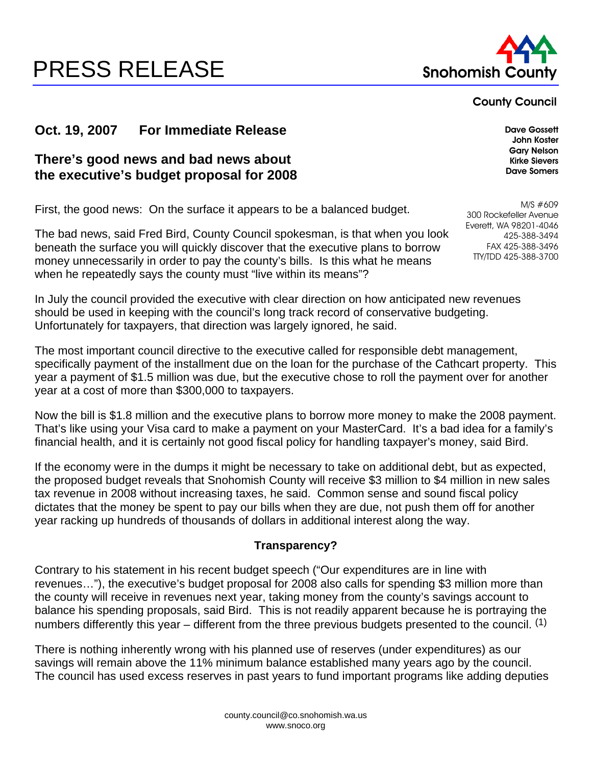# **PRESS RELEASE Snohomish County Reserve Expanding County ATT**



#### **County Council**

**John Koster Gary Nelson Kirke Sievers Dave Somers**

## **Oct. 19, 2007 • For Immediate Release** *Dave Gossett**Dave Gossett*

## **There's good news and bad news about the executive's budget proposal for 2008**

First, the good news: On the surface it appears to be a balanced budget.

The bad news, said Fred Bird, County Council spokesman, is that when you look beneath the surface you will quickly discover that the executive plans to borrow money unnecessarily in order to pay the county's bills. Is this what he means when he repeatedly says the county must "live within its means"?

M/S #609 300 Rockefeller Avenue Everett, WA 98201-4046 425-388-3494 FAX 425-388-3496

TTY/TDD 425-388-3700

In July the council provided the executive with clear direction on how anticipated new revenues should be used in keeping with the council's long track record of conservative budgeting. Unfortunately for taxpayers, that direction was largely ignored, he said.

The most important council directive to the executive called for responsible debt management, specifically payment of the installment due on the loan for the purchase of the Cathcart property. This year a payment of \$1.5 million was due, but the executive chose to roll the payment over for another year at a cost of more than \$300,000 to taxpayers.

Now the bill is \$1.8 million and the executive plans to borrow more money to make the 2008 payment. That's like using your Visa card to make a payment on your MasterCard. It's a bad idea for a family's financial health, and it is certainly not good fiscal policy for handling taxpayer's money, said Bird.

If the economy were in the dumps it might be necessary to take on additional debt, but as expected, the proposed budget reveals that Snohomish County will receive \$3 million to \$4 million in new sales tax revenue in 2008 without increasing taxes, he said. Common sense and sound fiscal policy dictates that the money be spent to pay our bills when they are due, not push them off for another year racking up hundreds of thousands of dollars in additional interest along the way.

#### **Transparency?**

Contrary to his statement in his recent budget speech ("Our expenditures are in line with revenues…"), the executive's budget proposal for 2008 also calls for spending \$3 million more than the county will receive in revenues next year, taking money from the county's savings account to balance his spending proposals, said Bird. This is not readily apparent because he is portraying the numbers differently this year – different from the three previous budgets presented to the council.  $(1)$ 

There is nothing inherently wrong with his planned use of reserves (under expenditures) as our savings will remain above the 11% minimum balance established many years ago by the council. The council has used excess reserves in past years to fund important programs like adding deputies